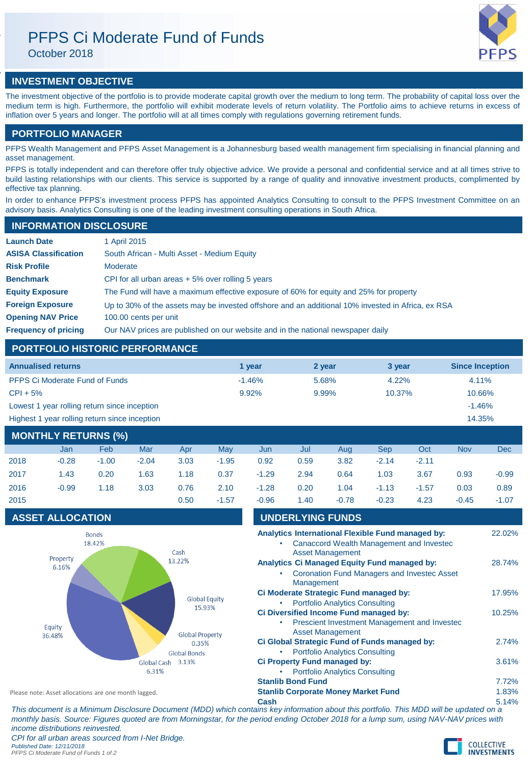# PFPS Ci Moderate Fund of Funds

October 2018



# **INVESTMENT OBJECTIVE**

The investment objective of the portfolio is to provide moderate capital growth over the medium to long term. The probability of capital loss over the medium term is high. Furthermore, the portfolio will exhibit moderate levels of return volatility. The Portfolio aims to achieve returns in excess of inflation over 5 years and longer. The portfolio will at all times comply with regulations governing retirement funds.

## **PORTFOLIO MANAGER**

PFPS Wealth Management and PFPS Asset Management is a Johannesburg based wealth management firm specialising in financial planning and asset management.

PFPS is totally independent and can therefore offer truly objective advice. We provide a personal and confidential service and at all times strive to build lasting relationships with our clients. This service is supported by a range of quality and innovative investment products, complimented by effective tax planning.

In order to enhance PFPS's investment process PFPS has appointed Analytics Consulting to consult to the PFPS Investment Committee on an advisory basis. Analytics Consulting is one of the leading investment consulting operations in South Africa.

# **INFORMATION DISCLOSURE**

| <b>Launch Date</b>          | 1 April 2015                                                                                      |
|-----------------------------|---------------------------------------------------------------------------------------------------|
| <b>ASISA Classification</b> | South African - Multi Asset - Medium Equity                                                       |
| <b>Risk Profile</b>         | Moderate                                                                                          |
| <b>Benchmark</b>            | CPI for all urban areas $+5\%$ over rolling 5 years                                               |
| <b>Equity Exposure</b>      | The Fund will have a maximum effective exposure of 60% for equity and 25% for property            |
| <b>Foreign Exposure</b>     | Up to 30% of the assets may be invested offshore and an additional 10% invested in Africa, ex RSA |
| <b>Opening NAV Price</b>    | 100.00 cents per unit                                                                             |
| <b>Frequency of pricing</b> | Our NAV prices are published on our website and in the national newspaper daily                   |

# **PORTFOLIO HISTORIC PERFORMANCE**

| <b>Annualised returns</b>                     | 1 vear   | 2 year | 3 year   | <b>Since Inception</b> |
|-----------------------------------------------|----------|--------|----------|------------------------|
| <b>PFPS Ci Moderate Fund of Funds</b>         | $-1.46%$ | 5.68%  | $4.22\%$ | 4.11%                  |
| $CPI + 5%$                                    | 9.92%    | 9.99%  | 10.37%   | 10.66%                 |
| Lowest 1 year rolling return since inception  |          |        |          | $-1.46%$               |
| Highest 1 year rolling return since inception |          |        |          | 14.35%                 |
|                                               |          |        |          |                        |

# **MONTHLY RETURNS (%)**

|      | Jan     | <b>Feb</b> | Mar     | Apr  | May     | Jun     | Jul  | Aua     | Sep     | Oct     | <b>Nov</b> | Dec     |
|------|---------|------------|---------|------|---------|---------|------|---------|---------|---------|------------|---------|
| 2018 | $-0.28$ | $-1.00$    | $-2.04$ | 3.03 | $-1.95$ | 0.92    | 0.59 | 3.82    | $-2.14$ | $-2.11$ |            |         |
| 2017 | 1.43    | 0.20       | 1.63    | 1.18 | 0.37    | $-1.29$ | 2.94 | 0.64    | 1.03    | 3.67    | 0.93       | $-0.99$ |
| 2016 | $-0.99$ | 1.18       | 3.03    | 0.76 | 2.10    | $-1.28$ | 0.20 | 1.04    | $-1.13$ | $-1.57$ | 0.03       | 0.89    |
| 2015 |         |            |         | 0.50 | $-1.57$ | $-0.96$ | 1.40 | $-0.78$ | $-0.23$ | 4.23    | $-0.45$    | $-1.07$ |

# **ASSET ALLOCATION UNDERLYING FUND**



| UNDERL HING FUNDS                                                                                                               |        |
|---------------------------------------------------------------------------------------------------------------------------------|--------|
| Analytics International Flexible Fund managed by:<br><b>Canaccord Wealth Management and Investec</b><br><b>Asset Management</b> | 22.02% |
| <b>Analytics Ci Managed Equity Fund managed by:</b>                                                                             | 28.74% |
| <b>Coronation Fund Managers and Investec Asset</b><br>Management                                                                |        |
| Ci Moderate Strategic Fund managed by:                                                                                          | 17.95% |
| <b>Portfolio Analytics Consulting</b>                                                                                           |        |
| Ci Diversified Income Fund managed by:                                                                                          | 10.25% |
| Prescient Investment Management and Investec<br><b>Asset Management</b>                                                         |        |
| Ci Global Strategic Fund of Funds managed by:                                                                                   | 2.74%  |
| <b>Portfolio Analytics Consulting</b>                                                                                           |        |
| Ci Property Fund managed by:                                                                                                    | 3.61%  |
| <b>Portfolio Analytics Consulting</b>                                                                                           |        |
| <b>Stanlib Bond Fund</b>                                                                                                        | 7.72%  |
| <b>Stanlib Corporate Money Market Fund</b>                                                                                      | 1.83%  |
| Cash                                                                                                                            | 5.14%  |

*This document is a Minimum Disclosure Document (MDD) which contains key information about this portfolio. This MDD will be updated on a monthly basis. Source: Figures quoted are from Morningstar, for the period ending October 2018 for a lump sum, using NAV-NAV prices with income distributions reinvested. CPI for all urban areas sourced from I-Net Bridge.*

*Published Date: 12/11/2018 PFPS Ci Moderate Fund of Funds 1 of 2*

Please note: Asset allocations are one month lagged.